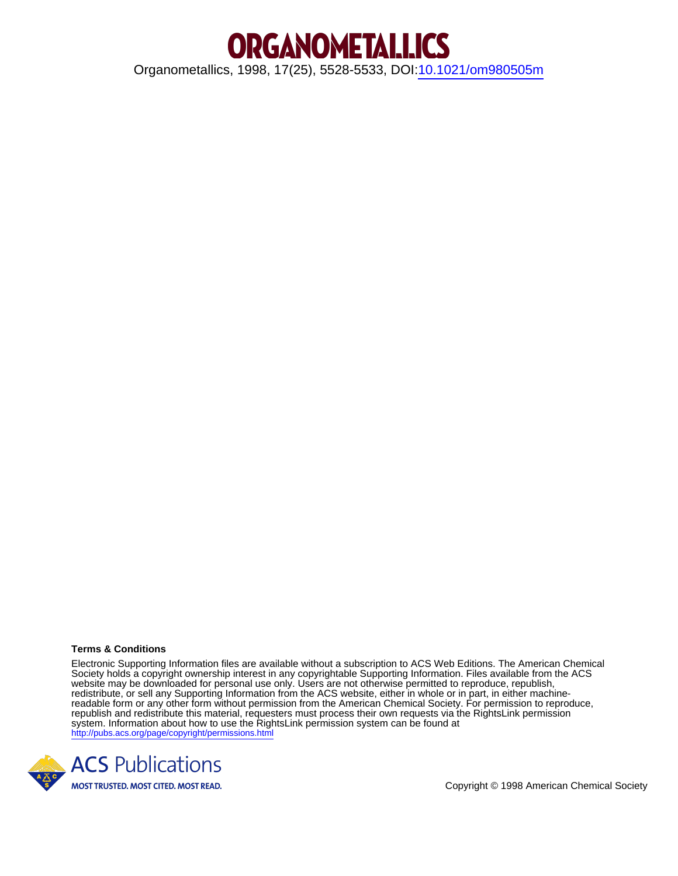

#### **Terms & Conditions**

Electronic Supporting Information files are available without a subscription to ACS Web Editions. The American Chemical Society holds a copyright ownership interest in any copyrightable Supporting Information. Files available from the ACS website may be downloaded for personal use only. Users are not otherwise permitted to reproduce, republish, redistribute, or sell any Supporting Information from the ACS website, either in whole or in part, in either machinereadable form or any other form without permission from the American Chemical Society. For permission to reproduce, republish and redistribute this material, requesters must process their own requests via the RightsLink permission system. Information about how to use the RightsLink permission system can be found at <http://pubs.acs.org/page/copyright/permissions.html>



Copyright © 1998 American Chemical Society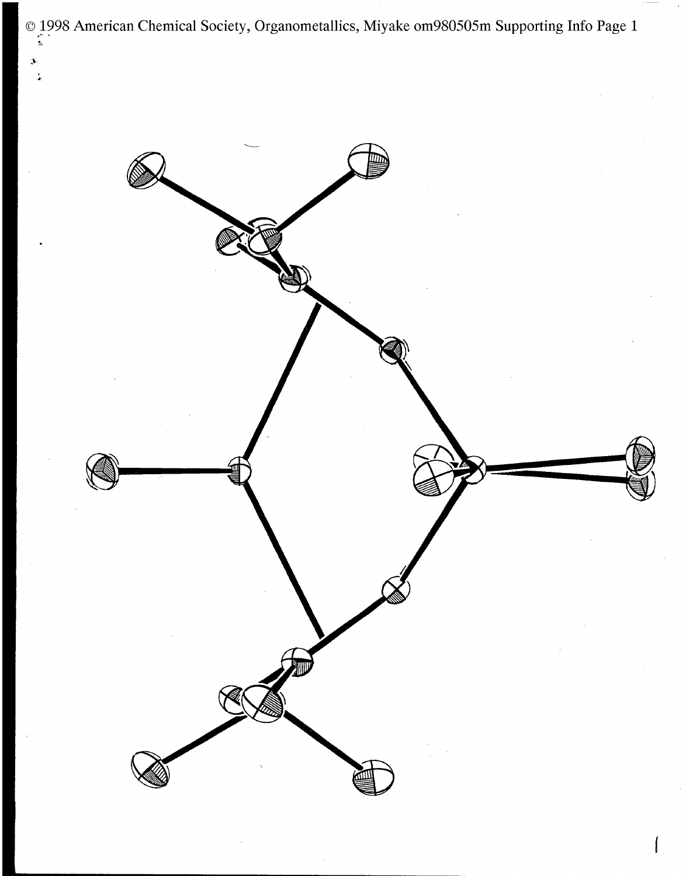

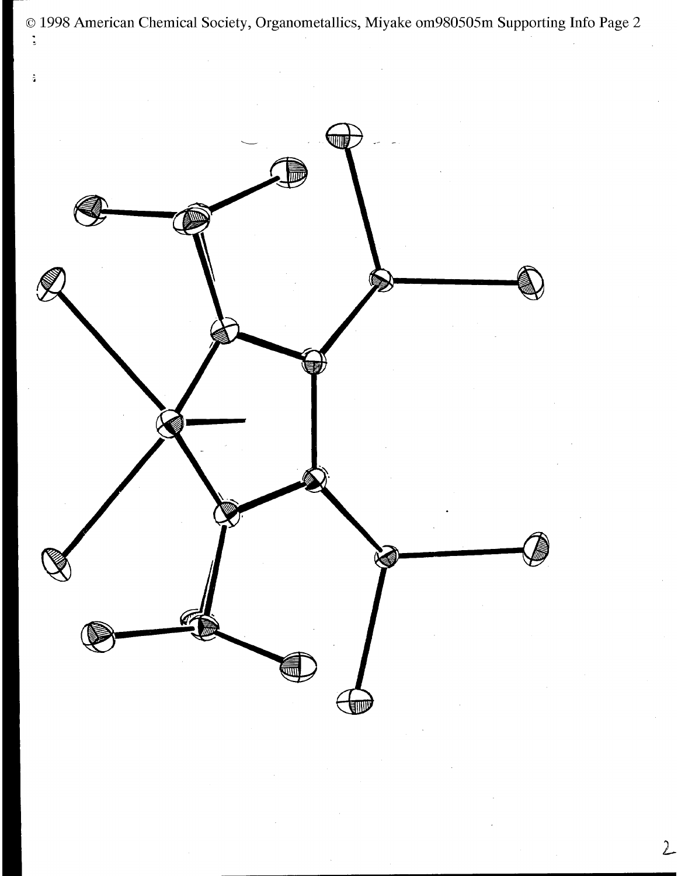$\ddot{\cdot}$ 



 $\overline{L}$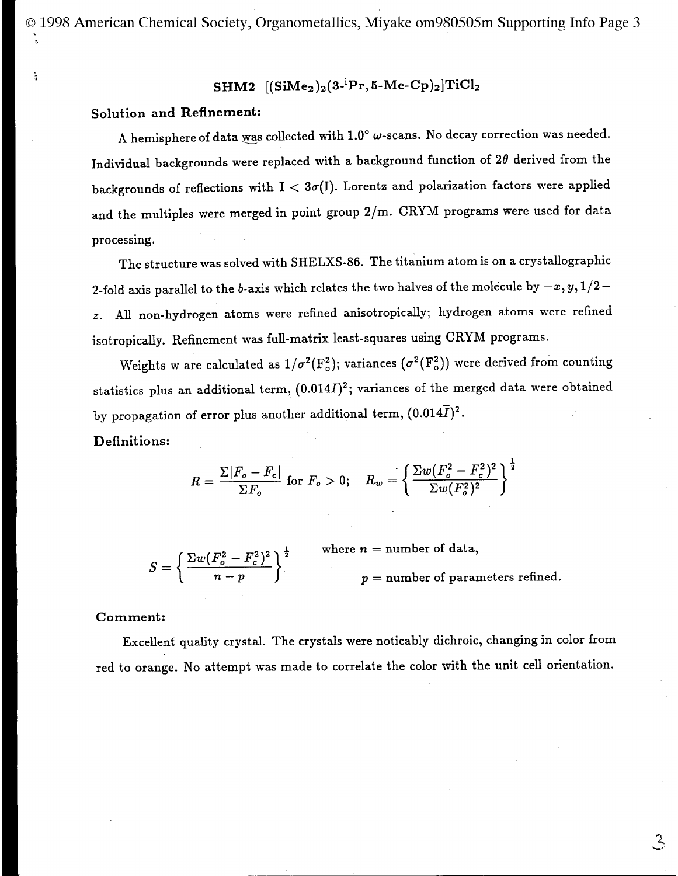## **SHM2**  $[(\text{SiMe}_2)_2 (3\cdot \text{Pr}, 5\text{-Me-Cp})_2] \text{TiCl}_2$

#### Solution and Refinement:

A hemisphere of data was collected with  $1.0^{\circ}$   $\omega$ -scans. No decay correction was needed. Individual backgrounds were replaced with a background function of  $2\theta$  derived from the backgrounds of reflections with  $I < 3\sigma(I)$ . Lorentz and polarization factors were applied and the multiples were merged in point group 2/m. CRYM programs were used for data processing.

The structure was solved with SHELXS-86. The titanium atom is on a crystallographic 2-fold axis parallel to the b-axis which relates the two halves of the molecule by  $-x, y, 1/2$  *z.* **All** non-hydrogen atoms were refined anisotropically; hydrogen atoms were refined isotropically. Refinement was full-matrix least-squares using CRYM programs.

Weights w are calculated as  $1/\sigma^2 (\text{F}_o^2)$ ; variances  $(\sigma^2 (\text{F}_o^2))$  were derived from counting statistics plus an additional term,  $(0.014I)^2$ ; variances of the merged data were obtained by propagation of error plus another additional term,  $(0.014\overline{I})^2$ .

Definitions:

$$
R=\frac{\Sigma|F_o-F_c|}{\Sigma F_o}\ \text{for}\ F_o>0;\quad R_w=\left\{\frac{\Sigma w (F_o^2-F_c^2)^2}{\Sigma w (F_o^2)^2}\right\}^\frac{1}{2}
$$

 $\left\{\frac{\Sigma w (F_o^2 - F_c^2)^2}{n-p}\right\}^{\frac{1}{2}}$  where  $n =$  number of data,<br>  $p =$  number of parameters refined.

 $\mathcal{S}$ 

#### **Comment:**

Excellent quality crystal. The crystals were noticably dichroic, changing in color from red to orange. No attempt was made to correlate the color with the unit cell orientation.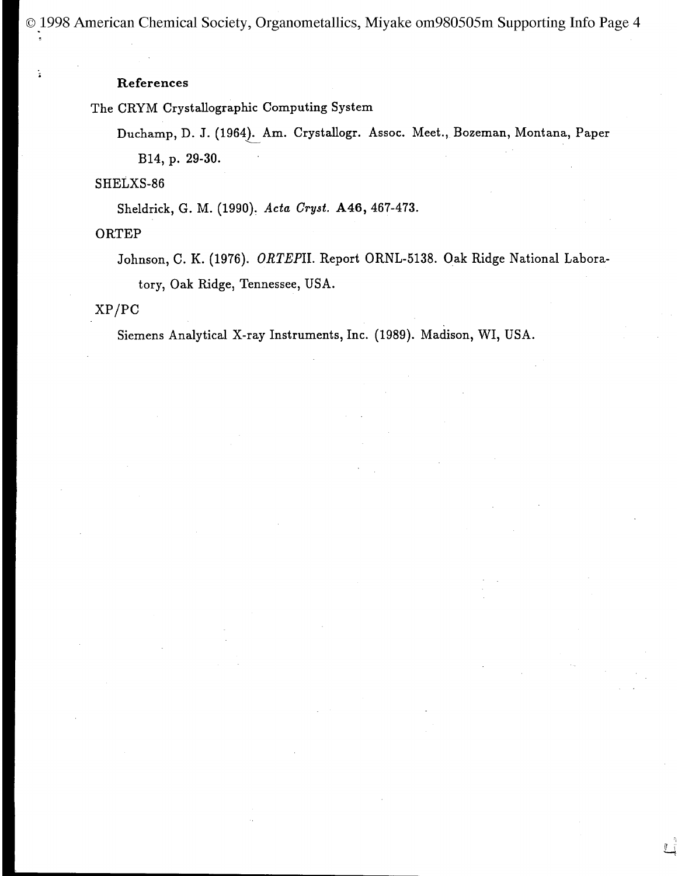### **References**

The CRYM Crystallographic Computing System

Duchamp, **D. J.** (1964). Am. Crystallogr. Assoc. Meet., Bozeman, Montana, Paper B14, **p. 29-30.**

## **SHELXS-86**

Sheldrick, **G.** M. **(1990).** *Acta Cryst.* **A46,** 467-473.

ORTEP

Johnson, **C.** K. **(1976).** *ORTEPII.* Report **ORNL-5138.** Oak Ridge National Laboratory, Oak Ridge, Tennessee, **USA.**

**XP/PC**

Siemens Analytical X-ray Instruments, Inc. **(1989).** Madison, WI, **USA.**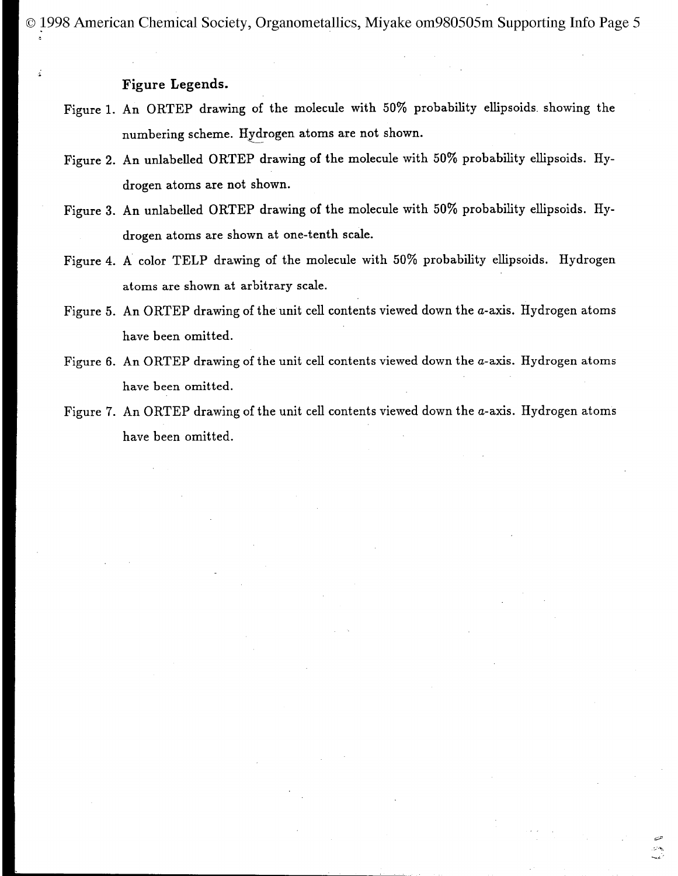### Figure Legends.

- Figure **1.** An ORTEP drawing of the molecule with **50%** probability ellipsoids- showing the numbering scheme. Hydrogen atoms are not shown.
- Figure 2. An unlabelled ORTEP drawing of the molecule with **50%** probability ellipsoids. **Hy**drogen atoms are not shown.
- Figure **3.** An unlabelled ORTEP drawing of the molecule with **50%** probability ellipsoids. **Hy**drogen atoms are shown at one-tenth scale.
- Figure 4. **A** color TELP drawing of the molecule with **50%** probability ellipsoids. Hydrogen atoms are shown at arbitrary scale.
- Figure **5.** An ORTEP drawing of the unit cell contents viewed down the a-axis. Hydrogen atoms have been omitted.
- Figure **6.** An ORTEP drawing of the unit cell contents viewed down the a-axis. Hydrogen atoms have been omitted.
- Figure **7.** An ORTEP drawing of the unit cell contents viewed down the a-axis. Hydrogen atoms have been omitted.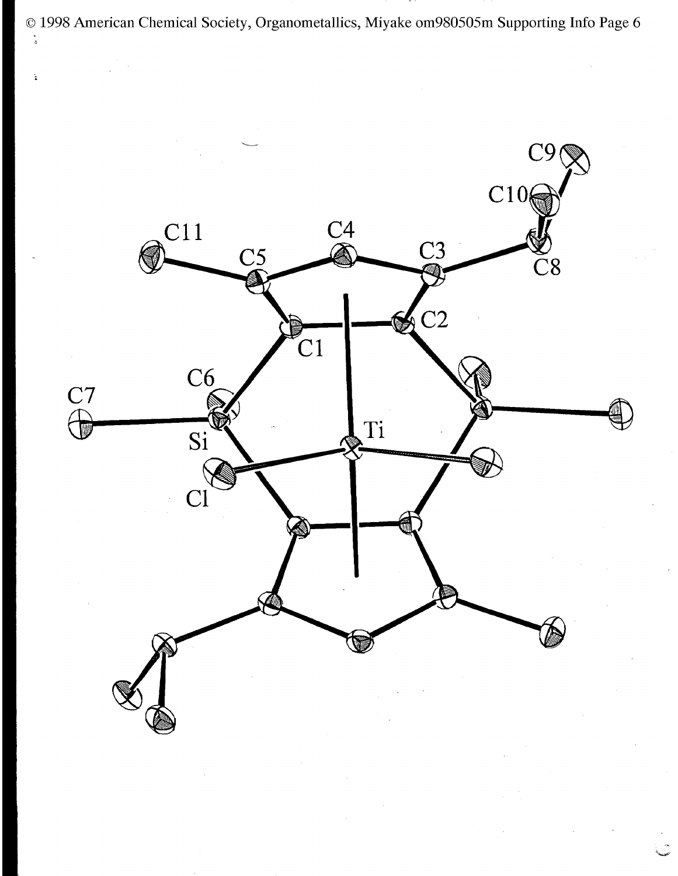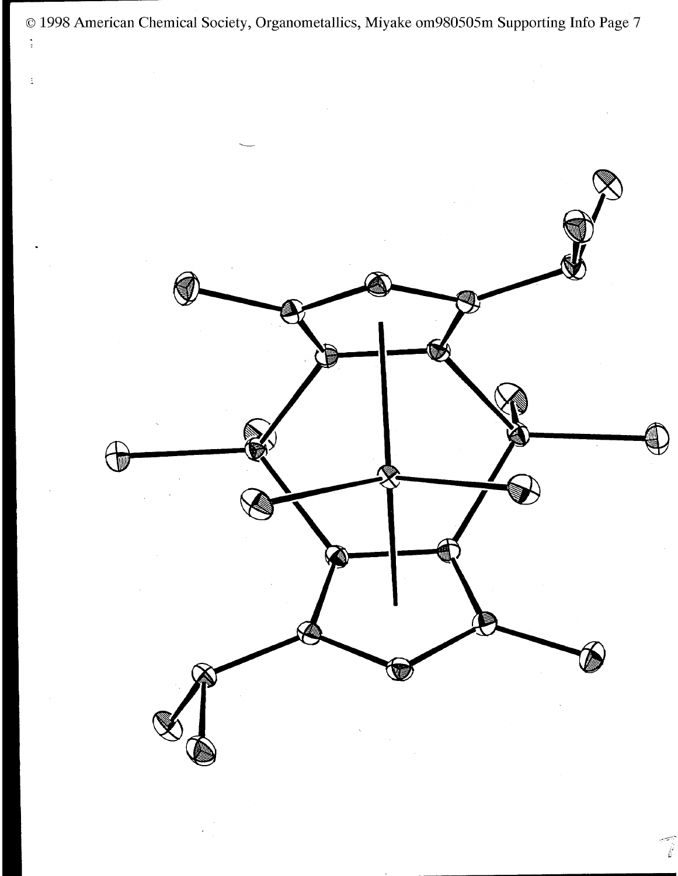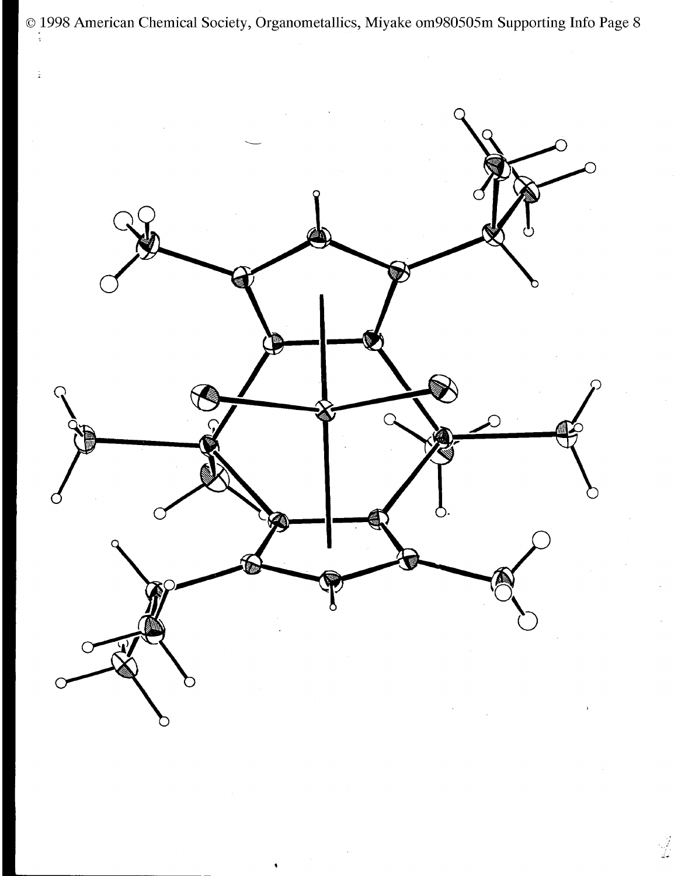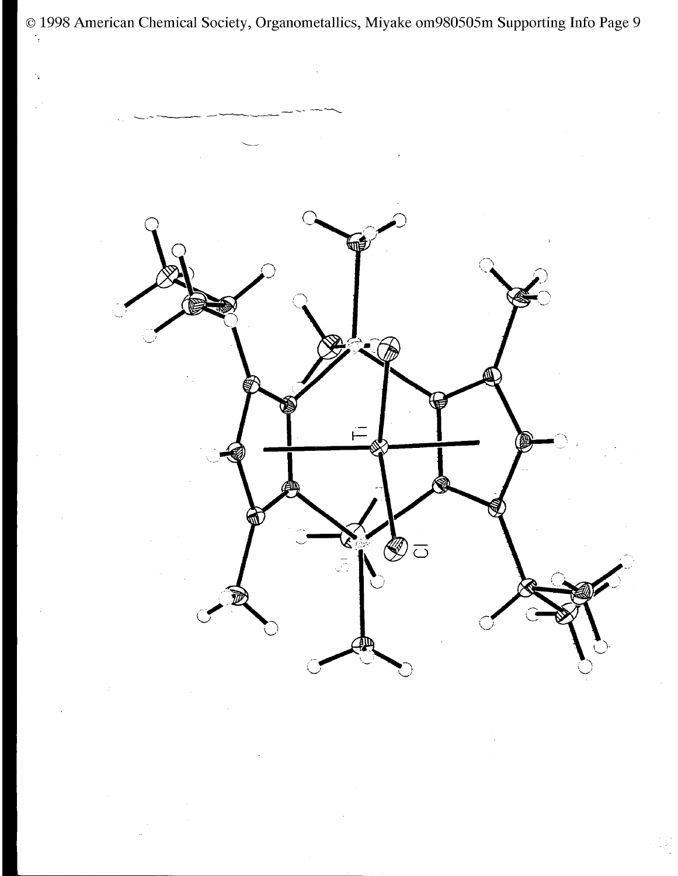

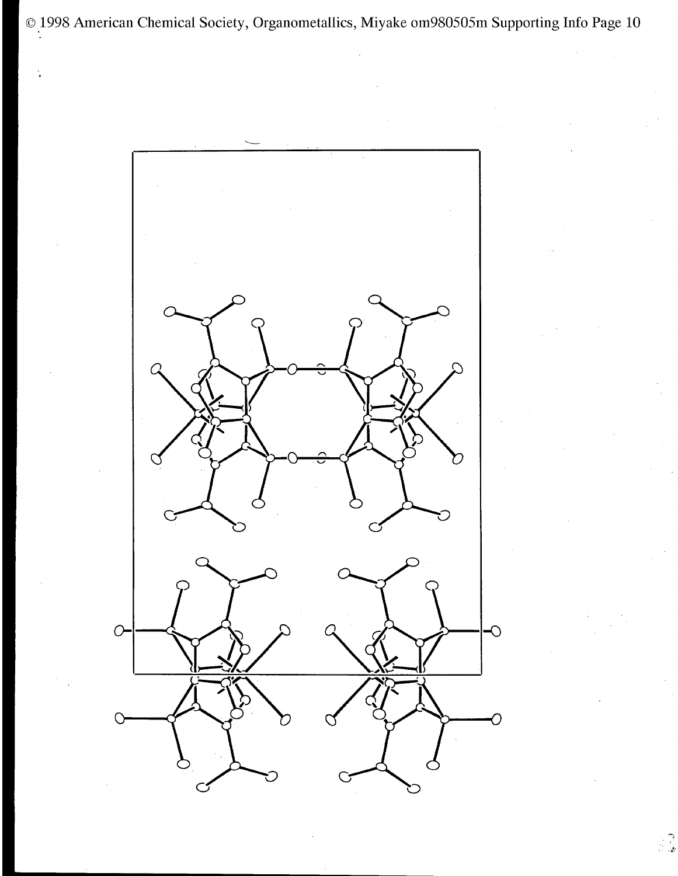

 $\frac{1}{2}$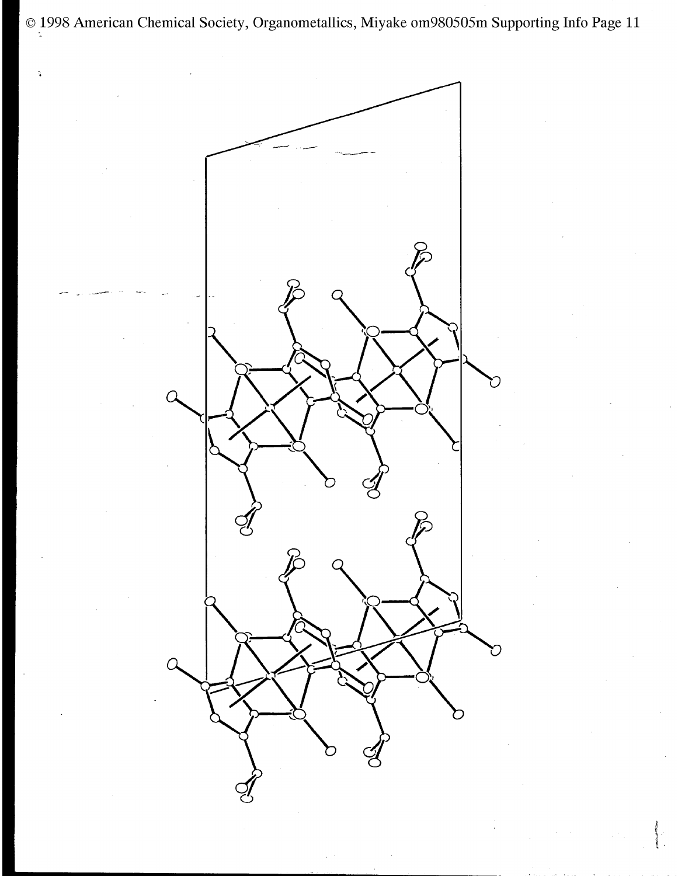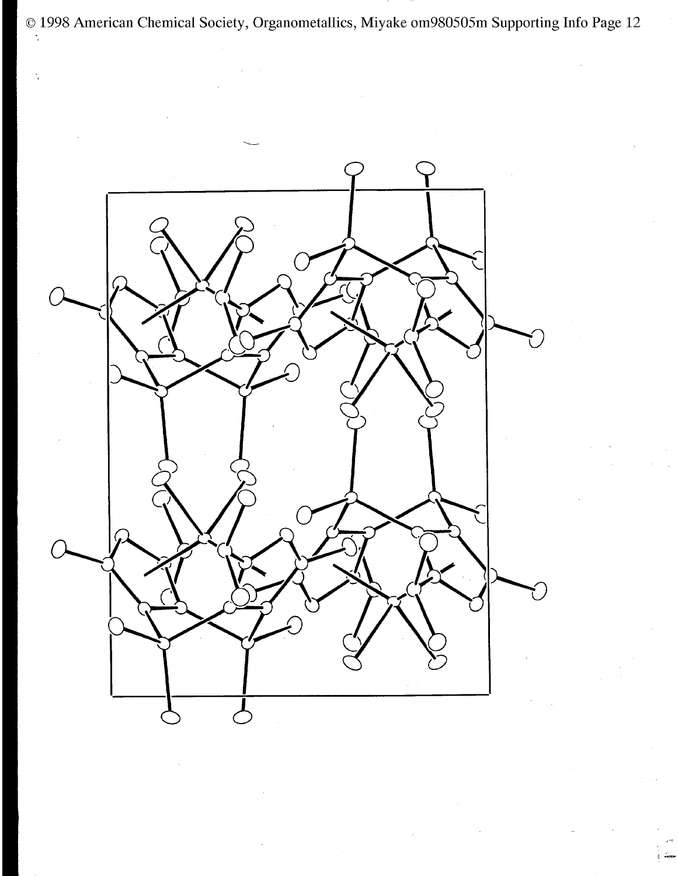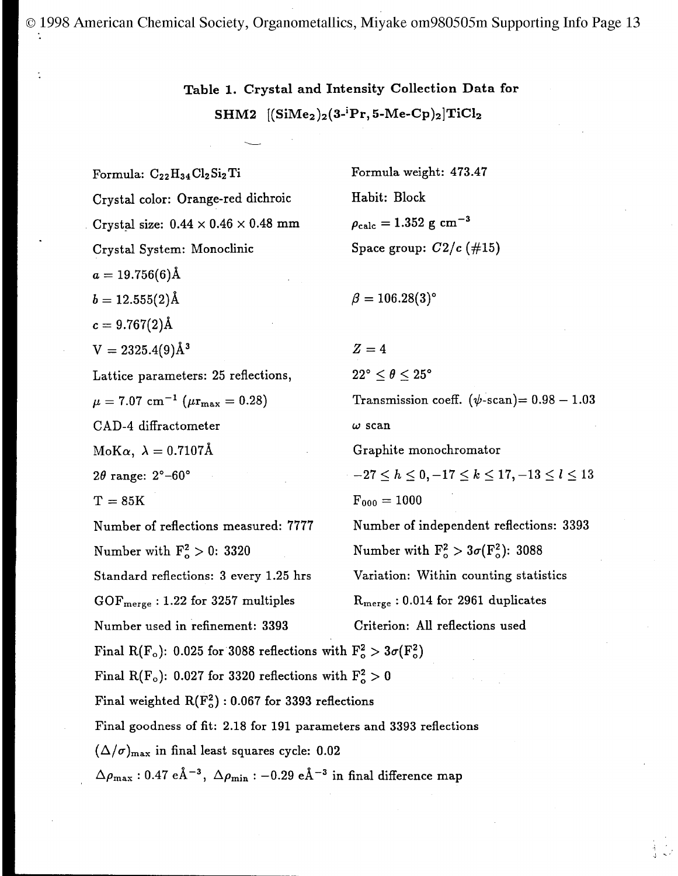Table **1.** Crystal and Intensity Collection Data for **SHM2**  $[(\text{SiMe}_2)_2 (3\text{-}{}^{\text{i}}\text{Pr}, 5\text{-Me-Cp})_2] \text{TiCl}_2$ 

Formula:  $C_{22}H_{34}Cl_2Si_2Ti$  Formula weight: 473.47 Crystal color: Orange-red dichroic Habit: Block Crystal size:  $0.44 \times 0.46 \times 0.48$  mm  $\rho_{calc} = 1.352$  g cm<sup>-3</sup> Crystal System: Monoclinic Space group: **C2/c (#15)**  $a = 19.756(6)$ Å  $b = 12.555(2)$ Å  $\beta = 106.28(3)^{\circ}$  $c = 9.767(2)$ Å  $V = 2325.4(9)$  $\AA^3$   $Z=4$ Lattice parameters: 25 reflections,  $22^\circ \le \theta \le 25^\circ$  $\mu = 7.07 \text{ cm}^{-1} \ (\mu \text{r}_{\text{max}} = 0.28)$  Transmission coeff.  $(\psi\text{-scan}) = 0.98 - 1.03$ CAD-4 diffractometer  $\omega$  scan MoK $\alpha$ ,  $\lambda = 0.7107$ Å Graphite monochromator 2 $\theta$  range:  $2^{\circ} - 60^{\circ}$   $-27 \le h \le 0, -17 \le k \le 17, -13 \le l \le 13$  $T = 85K$  **F**<sub>000</sub> = 1000 Number of reflections measured: **7777** Number of independent reflections: **3393** Number with  $F_o^2 > 0$ : 3320 **Number with**  $F_o^2 > 3\sigma(F_o^2)$ **: 3088** Standard reflections: **3** every **1.25** hrs Variation: Within counting statistics GOFmerge **:** 1.22 for **3257** multiples Rmerge **:** 0.014 for **2961** duplicates Number used in refinement: **3393** Criterion: **All** reflections used Final R(F<sub>o</sub>): 0.025 for 3088 reflections with  $F_o^2 > 3\sigma(F_o^2)$ Final R(F<sub>o</sub>): 0.027 for 3320 reflections with  $F_o^2 > 0$ Final weighted  $R(F_o^2)$ : 0.067 for 3393 reflections Final goodness of fit: **2.18** for **191** parameters and **3393** reflections  $(\Delta/\sigma)_{\text{max}}$  in final least squares cycle: 0.02  $\Delta \rho_{\text{max}}$  : 0.47 eÅ<sup>-3</sup>,  $\Delta \rho_{\text{min}}$  : -0.29 eÅ<sup>-3</sup> in final difference map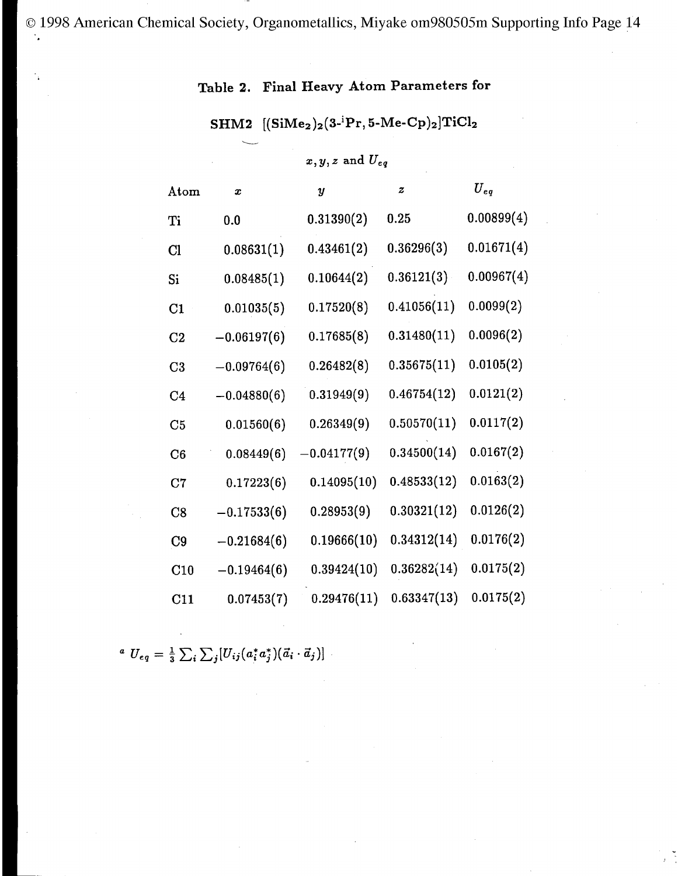# Table 2. Final Heavy Atom Parameters for

# **SHM2**  $[(SiMe<sub>2</sub>)<sub>2</sub>(3<sup>-1</sup>Pr, 5-Me-Cp)<sub>2</sub>]TiCl<sub>2</sub>$

*X, y, z* and *Ue,*

| Atom           | $\boldsymbol{x}$ | $\boldsymbol{y}$ | $\pmb{z}$   | $\boldsymbol{U_{eq}}$ |
|----------------|------------------|------------------|-------------|-----------------------|
| Ti             | 0.0              | 0.31390(2)       | 0.25        | 0.00899(4)            |
| $_{\text{Cl}}$ | 0.08631(1)       | 0.43461(2)       | 0.36296(3)  | 0.01671(4)            |
| Si             | 0.08485(1)       | 0.10644(2)       | 0.36121(3)  | 0.00967(4)            |
| C1             | 0.01035(5)       | 0.17520(8)       | 0.41056(11) | 0.0099(2)             |
| C <sub>2</sub> | $-0.06197(6)$    | 0.17685(8)       | 0.31480(11) | 0.0096(2)             |
| C <sub>3</sub> | $-0.09764(6)$    | 0.26482(8)       | 0.35675(11) | 0.0105(2)             |
| C <sub>4</sub> | $-0.04880(6)$    | 0.31949(9)       | 0.46754(12) | 0.0121(2)             |
| C <sub>5</sub> | 0.01560(6)       | 0.26349(9)       | 0.50570(11) | 0.0117(2)             |
| C6             | 0.08449(6)       | $-0.04177(9)$    | 0.34500(14) | 0.0167(2)             |
| C <sub>7</sub> | 0.17223(6)       | 0.14095(10)      | 0.48533(12) | 0.0163(2)             |
| C8             | $-0.17533(6)$    | 0.28953(9)       | 0.30321(12) | 0.0126(2)             |
| C9             | $-0.21684(6)$    | 0.19666(10)      | 0.34312(14) | 0.0176(2)             |
| C10            | $-0.19464(6)$    | 0.39424(10)      | 0.36282(14) | 0.0175(2)             |
| C11            | 0.07453(7)       | 0.29476(11)      | 0.63347(13) | 0.0175(2)             |

<sup>*a*</sup>  $U_{eq} = \frac{1}{3} \sum_i \sum_j [U_{ij} (a_i^* a_j^*) (\vec{a}_i \cdot \vec{a}_j)]$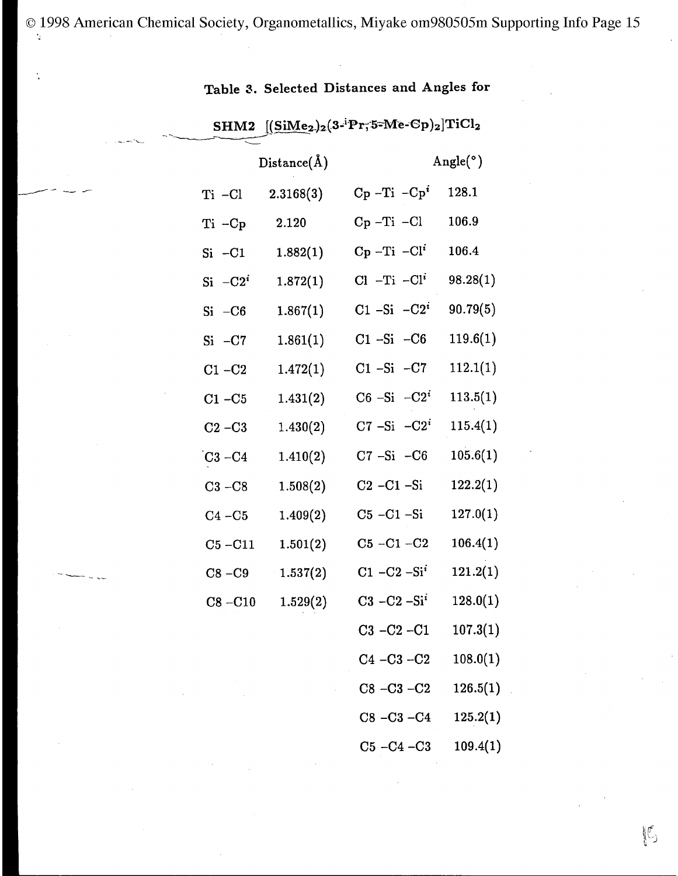$\mathbb{Q}$ 

|             |             | SHM2 $[(\text{SiMe}_2)_2(3\text{-}{}^{\text{i}}\text{Pr};5\text{-}{}^{\text{Me-}}\text{Cp})_2]\text{TiCl}_2$ |                     |
|-------------|-------------|--------------------------------------------------------------------------------------------------------------|---------------------|
|             | Distance(A) |                                                                                                              | Angle( $^{\circ}$ ) |
| Ti-Cl       | 2.3168(3)   | $Cp - Ti - Cp^i$                                                                                             | 128.1               |
| Ti-Cp       | 2.120       | $Cp - Ti - Cl$                                                                                               | 106.9               |
| $Si$ -C1    | 1.882(1)    | $Cp - Ti - Cli$                                                                                              | 106.4               |
| $Si - C2^i$ | 1.872(1)    | $Cl - Ti - Cli$                                                                                              | 98.28(1)            |
| $Si - C6$   | 1.867(1)    | $C1-Si$ $-C2i$                                                                                               | 90.79(5)            |
| $Si - C7$   | 1.861(1)    | $C1 - Si - C6$                                                                                               | 119.6(1)            |
| $C1 - C2$   | 1.472(1)    | $C1 - Si - C7$                                                                                               | 112.1(1)            |
| $C1 - C5$   | 1.431(2)    | $C6 - Si - C2i$                                                                                              | 113.5(1)            |
| $C2 - C3$   | 1.430(2)    | $C7-Si$ $-C2i$                                                                                               | 115.4(1)            |
| $CG - C4$   | 1.410(2)    | $C7 - Si - C6$                                                                                               | 105.6(1)            |
| $C3 - C8$   | 1.508(2)    | $C2 - C1 - Si$                                                                                               | 122.2(1)            |
| $C4 - C5$   | 1.409(2)    | $C5 - C1 - Si$                                                                                               | 127.0(1)            |
| $C5 - C11$  | 1.501(2)    | $C5 - C1 - C2$                                                                                               | 106.4(1)            |
| $C8 - C9$   | 1.537(2)    | $C1 - C2 - Sii$                                                                                              | 121.2(1)            |
| $C8 - C10$  | 1.529(2)    | $C3 - C2 - Sii$                                                                                              | 128.0(1)            |
|             |             | $C3 - C2 - C1$                                                                                               | 107.3(1)            |
|             |             | $C4 - C3 - C2$                                                                                               | 108.0(1)            |
|             |             | $C8 - C3 - C2$                                                                                               | 126.5(1)            |
|             |             | $C8 - C3 - C4$                                                                                               | 125.2(1)            |

**C5** -C4 **-C3**

109.4(1)

**Table 3. Selected Distances and Angles for**

 $\big\backslash\!\!\big\{\!\!\big\}$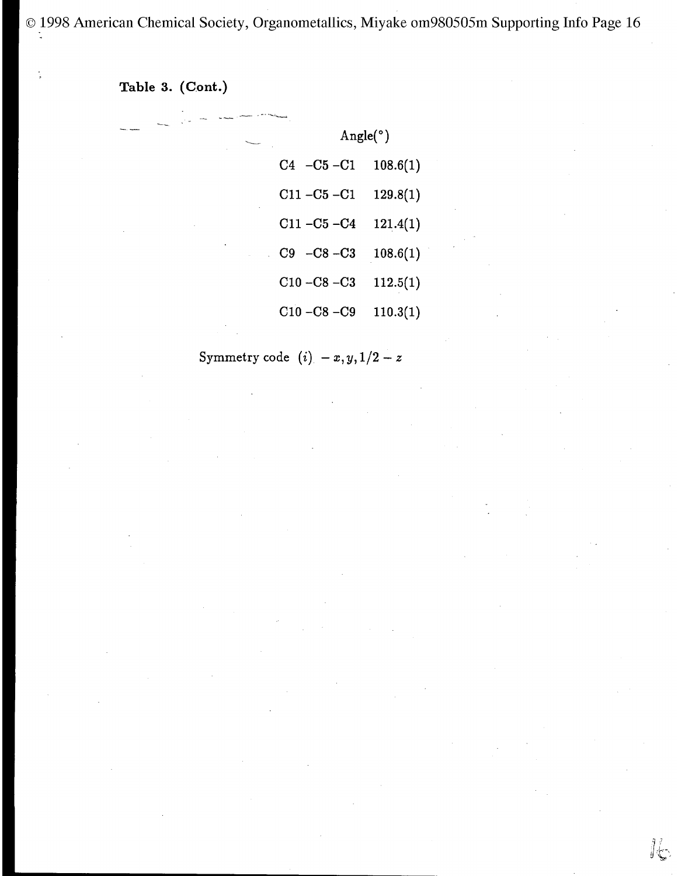Table **3. (Cont.)**

 $Angle(°)$ C4 **-C5 -Cl 108.6(1) C11 -C5 -Cl 129.8(1) C11 -C5** -C4 121.4(1) **C9 -C8 -C3 108.6(1) C10 -C8 -C3 112.5(1) C10 -C8 -C9 110.3(1)**

长

Symmetry code  $(i)$   $-x, y, 1/2 - z$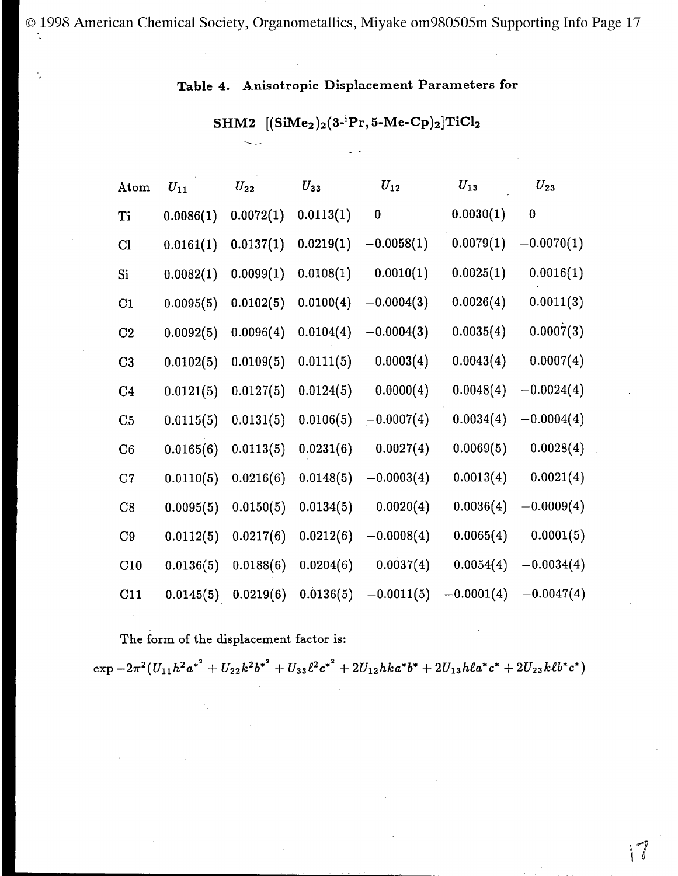### Table 4. Anisotropic Displacement Parameters for

#### Atom Ti Cl Si Cl **C2 C3**  $C<sub>4</sub>$ **C5 C6 C7 C8** *U11* **0.0086(1) 0.0161(1) 0.0082(1) 0.0095(5) 0.0092(5) 0.0102(5) 0.0121(5) 0.0115(5) 0.0165(6) 0.0110(5) 0.0095(5)**  $U_{22}$ **0.0072(1) 0.0137(1) 0.0099(1) 0.0102(5)** 0.0096(4) **0.0109(5) 0.0127(5) 0.0131(5) 0.0113(5) 0.0216(6) 0.0150(5)**  $U_{33}$ **0.0113(1) 0.0219(1) 0.0108(1)** 0.0100(4) 0.0104(4) **0.0111(5)** 0.0124(5) **0.0106(5) 0.0231(6)** 0.0148(5) 0.0134(5)  $U_{12}$ **0 -0.0058(1) 0.0010(1)**  $-0.0004(3)$  $-0.0004(3)$ 0.0003(4) 0.0000(4)  $-0.0007(4)$  $0.0027(4)$  $-0.0003(4)$ 0.0020(4)  $U_{13}$ **0.0030(1) 0.0079(1) 0.0025(1)** 0.0026(4)  $0.0035(4)$  $0.0043(4)$ 0.0048(4)  $0.0034(4)$ **0.0069(5)**  $0.0013(4)$ 0.0036(4)  $U_{23}$ **0 -0.0070(1) 0.0016(1) 0.0011(3) 0.0007(3)** 0.0007(4)  $-0.0024(4)$  $-0.0004(4)$ 0.0028(4) 0.0021(4)  $-0.0009(4)$

**SHM2**  $[(\text{SiMe}_2)_2 (3\cdot ^1\text{Pr}, 5\cdot \text{Me-} \text{Cp})_2] \text{TiCl}_2$ 

The form of the displacement factor is:

**0.0212(6)**

 $-0.0008(4)$ 

0.0065(4)

**0.0001(5)**

 $-0.0034(4)$ 

 $-0.0047(4)$ 

0.0054(4)

 $-0.0001(4)$ 

0.0037(4)

**-0.0011(5)**

0.0204(6)

**0.0136(5)**

**C9**

**0.0112(5)**

**0.0217(6)**

**0.0188(6)**

**0.0219(6)**

**0.0136(5)**

 $0.0145(5)$ 

**C10**

**C11**

 $\exp -2\pi^2(U_{11}h^2{a^*}^2+U_{22}k^2{b^*}^2+U_{33}\ell^2{c^*}^2+2U_{12}hka^*b^*+2U_{13}hla^*c^*+2U_{23}k\ell b^*c^*)$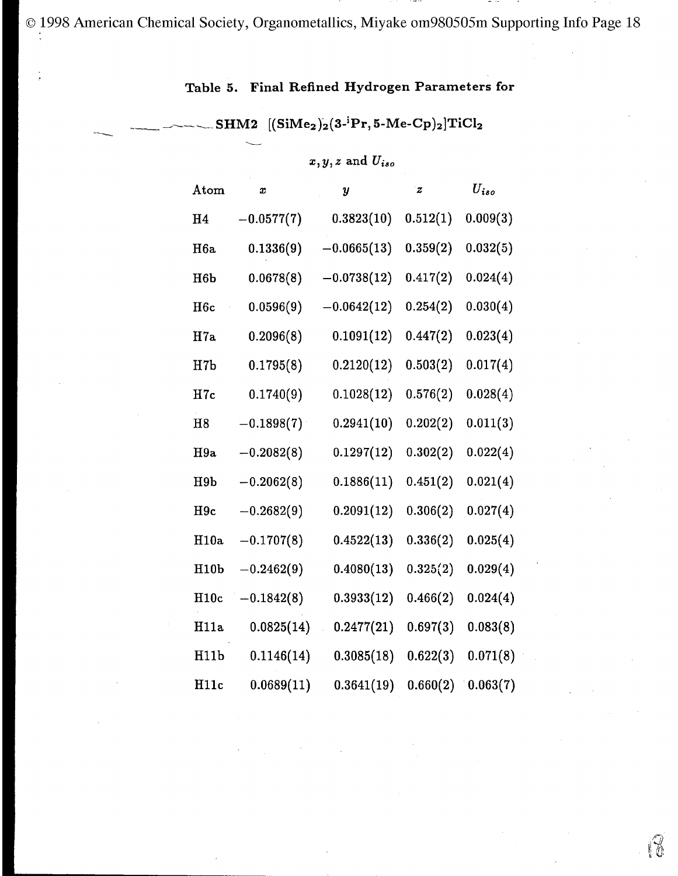# Table **5.** Final Refined Hydrogen Parameters for

# **SHM2**  $[(\text{SiMe}_2)_2(3\text{-}{}^{\text{i}}\text{Pr}, 5\text{-Me-Cp})_2]\text{TiCl}_2$

 $x, y, z$  and  $U_{iso}$ 

| $\bm{\Lambda}$ tom | x            | $\boldsymbol{y}$ | $\boldsymbol{z}$ | $U_{iso}$ |
|--------------------|--------------|------------------|------------------|-----------|
| H <sub>4</sub>     | $-0.0577(7)$ | 0.3823(10)       | 0.512(1)         | 0.009(3)  |
| H <sub>6a</sub>    | 0.1336(9)    | $-0.0665(13)$    | 0.359(2)         | 0.032(5)  |
| H <sub>6</sub> b   | 0.0678(8)    | $-0.0738(12)$    | 0.417(2)         | 0.024(4)  |
| H <sub>6c</sub>    | 0.0596(9)    | $-0.0642(12)$    | 0.254(2)         | 0.030(4)  |
| H7a                | 0.2096(8)    | 0.1091(12)       | 0.447(2)         | 0.023(4)  |
| H7b                | 0.1795(8)    | 0.2120(12)       | 0.503(2)         | 0.017(4)  |
| H7c                | 0.1740(9)    | 0.1028(12)       | 0.576(2)         | 0.028(4)  |
| H8                 | $-0.1898(7)$ | 0.2941(10)       | 0.202(2)         | 0.011(3)  |
| H9a                | $-0.2082(8)$ | 0.1297(12)       | 0.302(2)         | 0.022(4)  |
| H9b                | $-0.2062(8)$ | 0.1886(11)       | 0.451(2)         | 0.021(4)  |
| H9c                | $-0.2682(9)$ | 0.2091(12)       | 0.306(2)         | 0.027(4)  |
| H10a               | $-0.1707(8)$ | 0.4522(13)       | 0.336(2)         | 0.025(4)  |
| H10 <sub>b</sub>   | $-0.2462(9)$ | 0.4080(13)       | 0.325(2)         | 0.029(4)  |
| H10c               | $-0.1842(8)$ | 0.3933(12)       | 0.466(2)         | 0.024(4)  |
| H11a               | 0.0825(14)   | 0.2477(21)       | 0.697(3)         | 0.083(8)  |
| H <sub>11</sub> b  | 0.1146(14)   | 0.3085(18)       | 0.622(3)         | 0.071(8)  |
| H <sub>11</sub> c  | 0.0689(11)   | 0.3641(19)       | 0.660(2)         | 0.063(7)  |

 $\mathcal{R}$ ~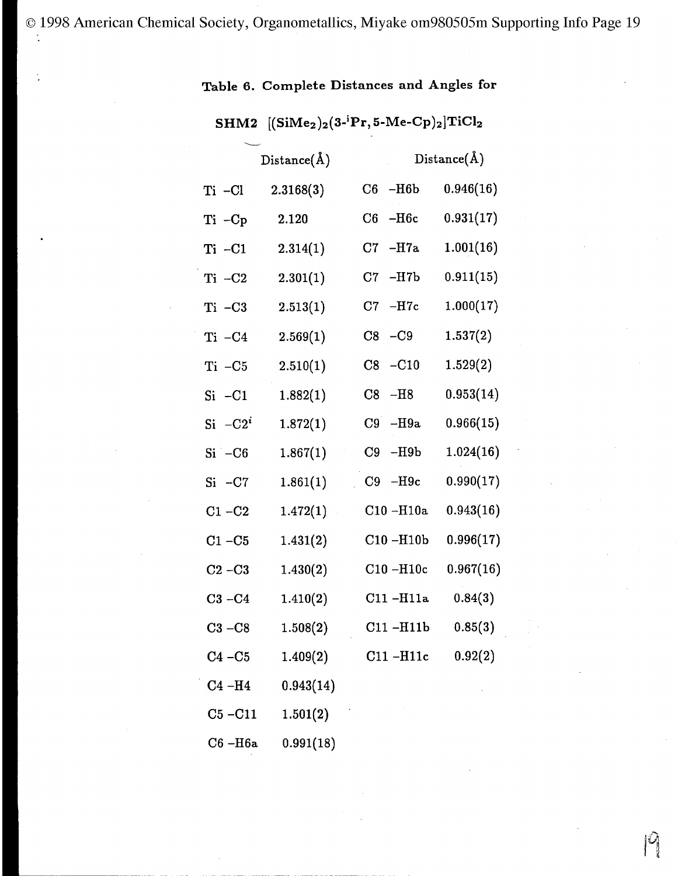|  |  | Table 6. Complete Distances and Angles for |  |  |  |  |
|--|--|--------------------------------------------|--|--|--|--|
|--|--|--------------------------------------------|--|--|--|--|

|              | Distance $(\text{\AA})$ |              | Distance(A) |
|--------------|-------------------------|--------------|-------------|
| Ti -Cl       | 2.3168(3)               | $C6$ -H6b    | 0.946(16)   |
| Ti-Cp        | 2.120                   | $C6$ -H $6c$ | 0.931(17)   |
| $Ti$ $-C1$   | 2.314(1)                | $C7$ -H7a    | 1.001(16)   |
| $Ti - C2$    | 2.301(1)                | $C7$ -H7b    | 0.911(15)   |
| $Ti$ $-C3$   | 2.513(1)                | $C7$ $-H7c$  | 1.000(17)   |
| Ti $-C4$     | 2.569(1)                | $C8 - C9$    | 1.537(2)    |
| Ti $-C5$     | 2.510(1)                | $C8$ -C10    | 1.529(2)    |
| $Si$ -C1     | 1.882(1)                | $C8$ -H8     | 0.953(14)   |
| $Si \ -C2^i$ | 1.872(1)                | $C9$ -H9a    | 0.966(15)   |
| $Si$ $-C6$   | 1.867(1)                | $C9$ –H $9b$ | 1.024(16)   |
| $Si$ -C7     | 1.861(1)                | $C9 - H9c$   | 0.990(17)   |
| $C1 - C2$    | 1.472(1)                | $C10 - H10a$ | 0.943(16)   |
| $C1 - C5$    | 1.431(2)                | $C10 - H10b$ | 0.996(17)   |
| $C2 - C3$    | 1.430(2)                | $C10 - H10c$ | 0.967(16)   |
| $C3 - C4$    | 1.410(2)                | $C11 - H11a$ | 0.84(3)     |
| $C3 - C8$    | 1.508(2)                | $C11 - H11b$ | 0.85(3)     |
| C4 –C5       | 1.409(2)                | $C11 - H11c$ | 0.92(2)     |
| C4 –H4       | 0.943(14)               |              |             |
| $C5 - C11$   | 1.501(2)                |              |             |
| $C6 - H6a$   | 0.991(18)               |              |             |

 $\mathcal{C}$ 

SHM2  $[(Sim_e)_2 (3-iPr, 5-Me-Cp)_2]TiCl_2$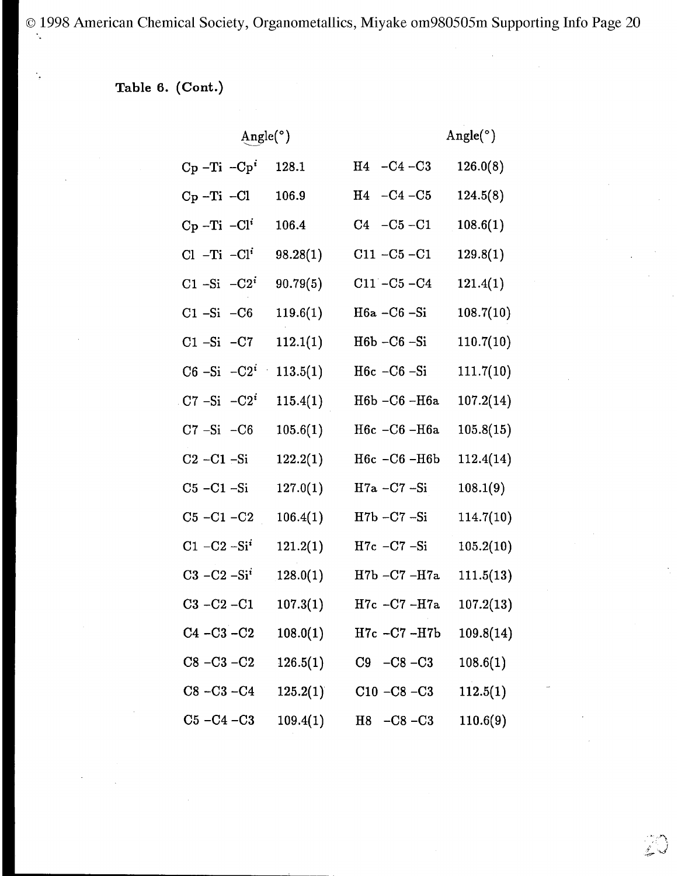Table **6.** (Cont.)

| Angle( $\degree$ ) |          |                  | Angle(°)  |
|--------------------|----------|------------------|-----------|
| $Cp - Ti - Cp^i$   | 128.1    | $H4 - C4 - C3$   | 126.0(8)  |
| $C_P - Ti - Cl$    | 106.9    | $H4 - C4 - C5$   | 124.5(8)  |
| $Cp - Ti - Cli$    | 106.4    | $C4 - C5 - C1$   | 108.6(1)  |
| $Cl - Ti - Cli$    | 98.28(1) | $C11 - C5 - C1$  | 129.8(1)  |
| $C1 - Si -C2i$     | 90.79(5) | $C11 - C5 - C4$  | 121.4(1)  |
| $C1 - Si - C6$     | 119.6(1) | $H6a - C6 - Si$  | 108.7(10) |
| $C1 - Si - C7$     | 112.1(1) | $H6b - C6 - Si$  | 110.7(10) |
| $C6 - Si - C2i$    | 113.5(1) | $H6c - C6 - Si$  | 111.7(10) |
| $C7-Si$ $-C2i$     | 115.4(1) | $H6b - C6 - H6a$ | 107.2(14) |
| $C7 - Si - C6$     | 105.6(1) | $H6c - C6 - H6a$ | 105.8(15) |
| $C2 - C1 - Si$     | 122.2(1) | $H6c - C6 - H6b$ | 112.4(14) |
| $C5 - C1 - Si$     | 127.0(1) | $H7a - C7 - Si$  | 108.1(9)  |
| $C5 - C1 - C2$     | 106.4(1) | $H7b - C7 - Si$  | 114.7(10) |
| $C1 - C2 - Sii$    | 121.2(1) | $H7c - C7 - Si$  | 105.2(10) |
| $C3 - C2 - Sii$    | 128.0(1) | $H7b - C7 - H7a$ | 111.5(13) |
| $C3 - C2 - C1$     | 107.3(1) | $H7c - C7 - H7a$ | 107.2(13) |
| $C4 - C3 - C2$     | 108.0(1) | $H7c - C7 - H7b$ | 109.8(14) |
| $C8 - C3 - C2$     | 126.5(1) | $C9 - C8 - C3$   | 108.6(1)  |
| $C8 - C3 - C4$     | 125.2(1) | $C10 - C8 - C3$  | 112.5(1)  |
| $C5 - C4 - C3$     | 109.4(1) | $H8 - C8 - C3$   | 110.6(9)  |

 $j'\to j$